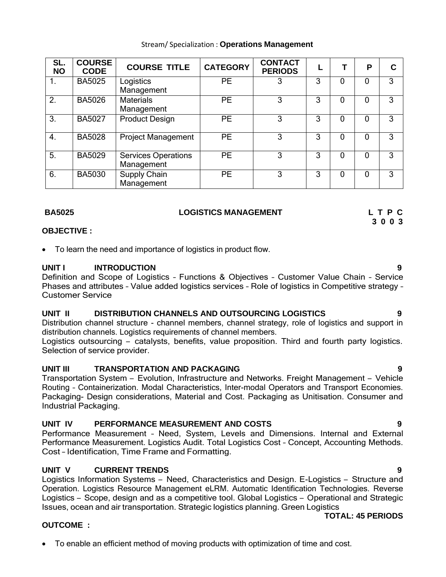|                 | TUTAL: 45 |
|-----------------|-----------|
| <b>OUTCOME:</b> |           |

• To enable an efficient method of moving products with optimization of time and cost.

## Stream/ Specialization : **Operations Management**

| SL.<br><b>NO</b> | <b>COURSE</b><br><b>CODE</b> | <b>COURSE TITLE</b>                      | <b>CATEGORY</b> | <b>CONTACT</b><br><b>PERIODS</b> |   |   | P        |   |
|------------------|------------------------------|------------------------------------------|-----------------|----------------------------------|---|---|----------|---|
|                  | <b>BA5025</b>                | Logistics<br>Management                  | <b>PE</b>       |                                  | 3 | 0 | 0        | 3 |
| 2.               | <b>BA5026</b>                | <b>Materials</b><br>Management           | <b>PE</b>       | 3                                | 3 | 0 | $\Omega$ | 3 |
| 3.               | <b>BA5027</b>                | <b>Product Design</b>                    | <b>PE</b>       | 3                                | 3 | 0 | 0        | 3 |
| $\overline{4}$ . | <b>BA5028</b>                | <b>Project Management</b>                | <b>PE</b>       | 3                                | 3 | O | 0        | 3 |
| 5.               | <b>BA5029</b>                | <b>Services Operations</b><br>Management | <b>PE</b>       | 3                                | 3 | 0 | 0        | 3 |
| 6.               | <b>BA5030</b>                | Supply Chain<br>Management               | <b>PE</b>       | 3                                | 3 | 0 | 0        | 3 |

## **BA5025 LOGISTICS MANAGEMENT L T P C**

## **OBJECTIVE :**

• To learn the need and importance of logistics in product flow.

## **UNIT I INTRODUCTION 9**

Definition and Scope of Logistics – Functions & Objectives – Customer Value Chain – Service Phases and attributes – Value added logistics services – Role of logistics in Competitive strategy – Customer Service

## **UNIT II DISTRIBUTION CHANNELS AND OUTSOURCING LOGISTICS 9**

Distribution channel structure - channel members, channel strategy, role of logistics and support in distribution channels. Logistics requirements of channel members.

Logistics outsourcing – catalysts, benefits, value proposition. Third and fourth party logistics. Selection of service provider.

## **UNIT III TRANSPORTATION AND PACKAGING 9**

Transportation System – Evolution, Infrastructure and Networks. Freight Management – Vehicle Routing – Containerization. Modal Characteristics, Inter-modal Operators and Transport Economies. Packaging- Design considerations, Material and Cost. Packaging as Unitisation. Consumer and Industrial Packaging.

## **UNIT IV PERFORMANCE MEASUREMENT AND COSTS 9**

Performance Measurement – Need, System, Levels and Dimensions. Internal and External Performance Measurement. Logistics Audit. Total Logistics Cost – Concept, Accounting Methods. Cost – Identification, Time Frame and Formatting.

## **UNIT V CURRENT TRENDS 9**

Logistics Information Systems – Need, Characteristics and Design. E-Logistics – Structure and Operation. Logistics Resource Management eLRM. Automatic Identification Technologies. Reverse Logistics – Scope, design and as a competitive tool. Global Logistics – Operational and Strategic Issues, ocean and air transportation. Strategic logistics planning. Green Logistics

# **TOTAL: 45 PERIODS**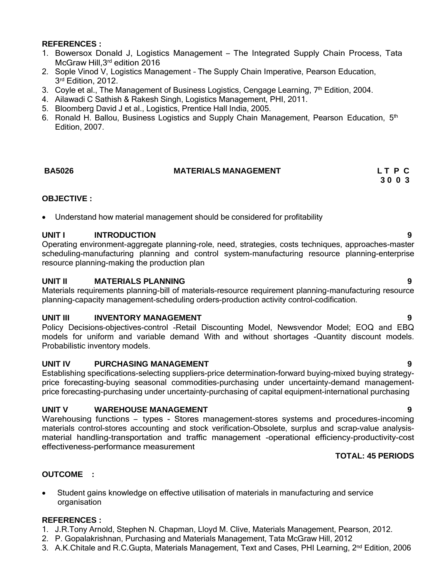## **REFERENCES :**

- 1. Bowersox Donald J, Logistics Management The Integrated Supply Chain Process, Tata McGraw Hill,3rd edition 2016
- 2. Sople Vinod V, Logistics Management The Supply Chain Imperative, Pearson Education, 3<sup>rd</sup> Edition, 2012.
- 3. Coyle et al., The Management of Business Logistics, Cengage Learning,  $7<sup>th</sup>$  Edition, 2004.
- 4. Ailawadi C Sathish & Rakesh Singh, Logistics Management, PHI, 2011.
- 5. Bloomberg David J et al., Logistics, Prentice Hall India, 2005.
- 6. Ronald H. Ballou, Business Logistics and Supply Chain Management, Pearson Education, 5<sup>th</sup> Edition, 2007.

## **BA5026 MATERIALS MANAGEMENT L T P C**

## **OBJECTIVE :**

• Understand how material management should be considered for profitability

## **UNIT I INTRODUCTION 9**

Operating environment-aggregate planning-role, need, strategies, costs techniques, approaches-master scheduling-manufacturing planning and control system-manufacturing resource planning-enterprise resource planning-making the production plan

## **UNIT II MATERIALS PLANNING 9**

Materials requirements planning-bill of materials-resource requirement planning-manufacturing resource planning-capacity management-scheduling orders-production activity control-codification.

## **UNIT III INVENTORY MANAGEMENT 9**

Policy Decisions–objectives-control -Retail Discounting Model, Newsvendor Model; EOQ and EBQ models for uniform and variable demand With and without shortages -Quantity discount models. Probabilistic inventory models.

## **UNIT IV PURCHASING MANAGEMENT 9**

Establishing specifications-selecting suppliers-price determination-forward buying-mixed buying strategyprice forecasting-buying seasonal commodities-purchasing under uncertainty-demand managementprice forecasting-purchasing under uncertainty-purchasing of capital equipment-international purchasing

## **UNIT V WAREHOUSE MANAGEMENT 9**

Warehousing functions – types - Stores management-stores systems and procedures-incoming materials control-stores accounting and stock verification-Obsolete, surplus and scrap-value analysismaterial handling-transportation and traffic management -operational efficiency-productivity-cost effectiveness-performance measurement

## **TOTAL: 45 PERIODS**

## **OUTCOME :**

• Student gains knowledge on effective utilisation of materials in manufacturing and service organisation

## **REFERENCES :**

- 1. J.R.Tony Arnold, Stephen N. Chapman, Lloyd M. Clive, Materials Management, Pearson, 2012.
- 2. P. Gopalakrishnan, Purchasing and Materials Management, Tata McGraw Hill, 2012
- 3. A.K.Chitale and R.C.Gupta, Materials Management, Text and Cases, PHI Learning, 2<sup>nd</sup> Edition, 2006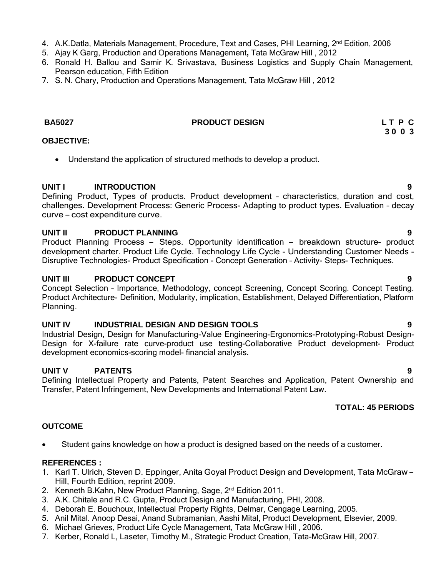- 4. A.K.Datla, Materials Management, Procedure, Text and Cases, PHI Learning, 2<sup>nd</sup> Edition, 2006
- 5. Ajay K Garg, Production and Operations Management**,** Tata McGraw Hill , 2012
- 6. Ronald H. Ballou and Samir K. Srivastava, Business Logistics and Supply Chain Management, Pearson education, Fifth Edition
- 7. S. N. Chary, Production and Operations Management, Tata McGraw Hill , 2012

## **BA5027 PRODUCT DESIGN L T P C**

## **OBJECTIVE:**

• Understand the application of structured methods to develop a product.

## **UNIT I INTRODUCTION 9**

Defining Product, Types of products. Product development – characteristics, duration and cost, challenges. Development Process: Generic Process- Adapting to product types. Evaluation – decay curve – cost expenditure curve.

### **UNIT II PRODUCT PLANNING 9**

Product Planning Process – Steps. Opportunity identification – breakdown structure- product development charter. Product Life Cycle. Technology Life Cycle - Understanding Customer Needs - Disruptive Technologies- Product Specification - Concept Generation – Activity- Steps- Techniques.

## **UNIT III PRODUCT CONCEPT 9**

Concept Selection – Importance, Methodology, concept Screening, Concept Scoring. Concept Testing. Product Architecture- Definition, Modularity, implication, Establishment, Delayed Differentiation, Platform Planning.

## **UNIT IV INDUSTRIAL DESIGN AND DESIGN TOOLS 9**

Industrial Design, Design for Manufacturing-Value Engineering-Ergonomics-Prototyping-Robust Design-Design for X-failure rate curve-product use testing-Collaborative Product development- Product development economics-scoring model- financial analysis.

## **UNIT V PATENTS 9**

Defining Intellectual Property and Patents, Patent Searches and Application, Patent Ownership and Transfer, Patent Infringement, New Developments and International Patent Law.

## **TOTAL: 45 PERIODS**

## **OUTCOME**

• Student gains knowledge on how a product is designed based on the needs of a customer.

## **REFERENCES :**

- 1. Karl T. Ulrich, Steven D. Eppinger, Anita Goyal Product Design and Development, Tata McGraw Hill, Fourth Edition, reprint 2009.
- 2. Kenneth B.Kahn, New Product Planning, Sage, 2<sup>nd</sup> Edition 2011.
- 3. A.K. Chitale and R.C. Gupta, Product Design and Manufacturing, PHI, 2008.
- 4. Deborah E. Bouchoux, Intellectual Property Rights, Delmar, Cengage Learning, 2005.
- 5. Anil Mital. Anoop Desai, Anand Subramanian, Aashi Mital, Product Development, Elsevier, 2009.
- 6. Michael Grieves, Product Life Cycle Management, Tata McGraw Hill , 2006.
- 7. Kerber, Ronald L, Laseter, Timothy M., Strategic Product Creation, Tata-McGraw Hill, 2007.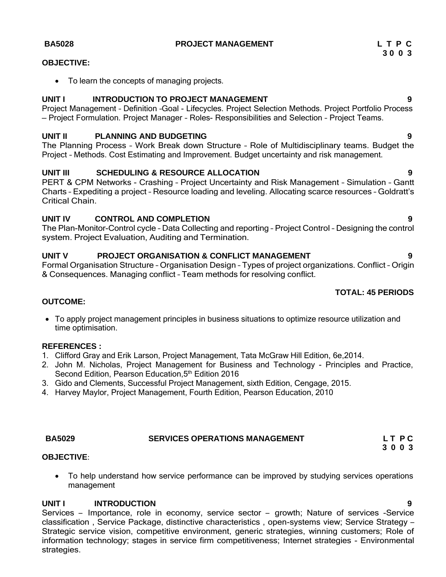**BA5028 PROJECT MANAGEMENT L T P C**

## **OBJECTIVE:**

• To learn the concepts of managing projects.

## **UNIT I INTRODUCTION TO PROJECT MANAGEMENT 9**

Project Management – Definition –Goal - Lifecycles. Project Selection Methods. Project Portfolio Process – Project Formulation. Project Manager – Roles- Responsibilities and Selection – Project Teams.

## **UNIT II PLANNING AND BUDGETING 9**

The Planning Process – Work Break down Structure – Role of Multidisciplinary teams. Budget the Project – Methods. Cost Estimating and Improvement. Budget uncertainty and risk management.

## **UNIT III SCHEDULING & RESOURCE ALLOCATION 9**

PERT & CPM Networks - Crashing – Project Uncertainty and Risk Management – Simulation – Gantt Charts – Expediting a project – Resource loading and leveling. Allocating scarce resources – Goldratt's Critical Chain.

## **UNIT IV CONTROL AND COMPLETION 9**

The Plan-Monitor-Control cycle – Data Collecting and reporting – Project Control – Designing the control system. Project Evaluation, Auditing and Termination.

## **UNIT V PROJECT ORGANISATION & CONFLICT MANAGEMENT 9**

Formal Organisation Structure – Organisation Design – Types of project organizations. Conflict – Origin & Consequences. Managing conflict – Team methods for resolving conflict.

## **TOTAL: 45 PERIODS**

## **OUTCOME:**

• To apply project management principles in business situations to optimize resource utilization and time optimisation.

## **REFERENCES :**

- 1. Clifford Gray and Erik Larson, Project Management, Tata McGraw Hill Edition, 6e,2014.
- 2. John M. Nicholas, Project Management for Business and Technology Principles and Practice, Second Edition, Pearson Education, 5<sup>th</sup> Edition 2016
- 3. Gido and Clements, Successful Project Management, sixth Edition, Cengage, 2015.
- 4. Harvey Maylor, Project Management, Fourth Edition, Pearson Education, 2010

# **BA5029 SERVICES OPERATIONS MANAGEMENT L T P C**

## **OBJECTIVE**:

• To help understand how service performance can be improved by studying services operations management

## **UNIT I INTRODUCTION 9**

Services – Importance, role in economy, service sector – growth; Nature of services -Service classification , Service Package, distinctive characteristics , open-systems view; Service Strategy – Strategic service vision, competitive environment, generic strategies, winning customers; Role of information technology; stages in service firm competitiveness; Internet strategies - Environmental strategies.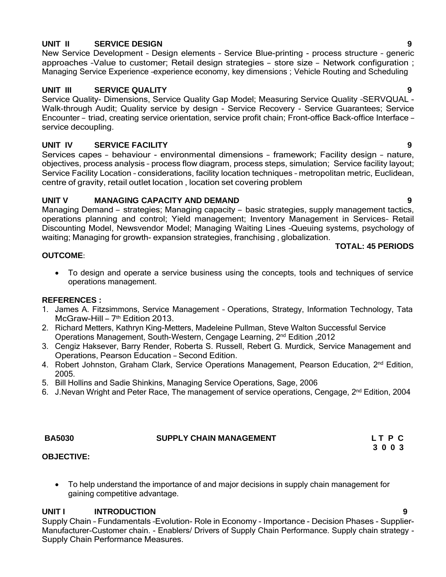## **UNIT II SERVICE DESIGN 9**

New Service Development – Design elements – Service Blue-printing - process structure – generic approaches –Value to customer; Retail design strategies – store size – Network configuration ; Managing Service Experience –experience economy, key dimensions ; Vehicle Routing and Scheduling

## **UNIT III SERVICE QUALITY 9**

Service Quality- Dimensions, Service Quality Gap Model; Measuring Service Quality –SERVQUAL - Walk-through Audit; Quality service by design - Service Recovery - Service Guarantees; Service Encounter – triad, creating service orientation, service profit chain; Front-office Back-office Interface – service decoupling.

## **UNIT IV SERVICE FACILITY 9**

Services capes – behaviour - environmental dimensions – framework; Facility design – nature, objectives, process analysis – process flow diagram, process steps, simulation; Service facility layout; Service Facility Location – considerations, facility location techniques – metropolitan metric, Euclidean, centre of gravity, retail outlet location , location set covering problem

# **UNIT V MANAGING CAPACITY AND DEMAND 9**

Managing Demand – strategies; Managing capacity – basic strategies, supply management tactics, operations planning and control; Yield management; Inventory Management in Services– Retail Discounting Model, Newsvendor Model; Managing Waiting Lines –Queuing systems, psychology of waiting; Managing for growth- expansion strategies, franchising , globalization.

### **OUTCOME**:

• To design and operate a service business using the concepts, tools and techniques of service operations management.

## **REFERENCES :**

- 1. James A. Fitzsimmons, Service Management Operations, Strategy, Information Technology, Tata odines 7. Frigommone, Service 1
- 2. Richard Metters, Kathryn King-Metters, Madeleine Pullman, Steve Walton Successful Service Operations Management, South-Western, Cengage Learning, 2<sup>nd</sup> Edition, 2012
- 3. Cengiz Haksever, Barry Render, Roberta S. Russell, Rebert G. Murdick, Service Management and Operations, Pearson Education – Second Edition.
- 4. Robert Johnston, Graham Clark, Service Operations Management, Pearson Education, 2<sup>nd</sup> Edition, 2005.
- 5. Bill Hollins and Sadie Shinkins, Managing Service Operations, Sage, 2006
- 6. J. Nevan Wright and Peter Race, The management of service operations, Cengage, 2<sup>nd</sup> Edition, 2004

| <b>BA5030</b> | <b>SUPPLY CHAIN MANAGEMENT</b> | LT P C |
|---------------|--------------------------------|--------|
|               |                                | 3003   |

## **OBJECTIVE:**

• To help understand the importance of and major decisions in supply chain management for gaining competitive advantage.

## **UNIT I INTRODUCTION 9**

Supply Chain – Fundamentals –Evolution- Role in Economy - Importance - Decision Phases - Supplier-Manufacturer-Customer chain. - Enablers/ Drivers of Supply Chain Performance. Supply chain strategy - Supply Chain Performance Measures.

# **TOTAL: 45 PERIODS**